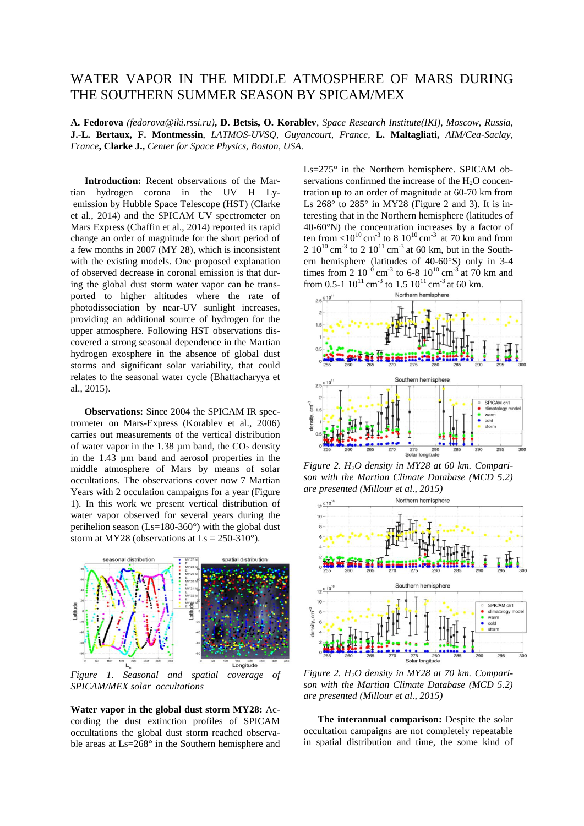## WATER VAPOR IN THE MIDDLE ATMOSPHERE OF MARS DURING THE SOUTHERN SUMMER SEASON BY SPICAM/MEX

**A. Fedorova** *(fedorova@iki.rssi.ru)***, D. Betsis, O. Korablev**, *Space Research Institute(IKI), Moscow, Russia*, **J.-L. Bertaux, F. Montmessin**, *LATMOS-UVSQ, Guyancourt, France,* **L. Maltagliati,** *AIM/Cea-Saclay, France***, Clarke J.,** *Center for Space Physics, Boston, USA*.

**Introduction:** Recent observations of the Martian hydrogen corona in the UV H Lyemission by Hubble Space Telescope (HST) (Clarke et al., 2014) and the SPICAM UV spectrometer on Mars Express (Chaffin et al., 2014) reported its rapid change an order of magnitude for the short period of a few months in 2007 (MY 28), which is inconsistent with the existing models. One proposed explanation of observed decrease in coronal emission is that during the global dust storm water vapor can be transported to higher altitudes where the rate of photodissociation by near-UV sunlight increases, providing an additional source of hydrogen for the upper atmosphere. Following HST observations discovered a strong seasonal dependence in the Martian hydrogen exosphere in the absence of global dust storms and significant solar variability, that could relates to the seasonal water cycle (Bhattacharyya et al., 2015).

**Observations:** Since 2004 the SPICAM IR spectrometer on Mars-Express (Korablev et al., 2006) carries out measurements of the vertical distribution of water vapor in the  $1.38 \mu m$  band, the  $CO<sub>2</sub>$  density in the 1.43 µm band and aerosol properties in the middle atmosphere of Mars by means of solar occultations. The observations cover now 7 Martian Years with 2 occulation campaigns for a year (Figure 1). In this work we present vertical distribution of water vapor observed for several years during the perihelion season (Ls=180-360°) with the global dust storm at MY28 (observations at  $\text{Ls} = 250-310^{\circ}$ ).



*Figure 1. Seasonal and spatial coverage of SPICAM/MEX solar occultations*

**Water vapor in the global dust storm MY28:** According the dust extinction profiles of SPICAM occultations the global dust storm reached observable areas at Ls=268° in the Southern hemisphere and Ls=275° in the Northern hemisphere. SPICAM observations confirmed the increase of the  $H<sub>2</sub>O$  concentration up to an order of magnitude at 60-70 km from Ls  $268^\circ$  to  $285^\circ$  in MY28 (Figure 2 and 3). It is interesting that in the Northern hemisphere (latitudes of 40-60°N) the concentration increases by a factor of ten from  $\langle 10^{10} \text{ cm}^{-3}$  to 8  $10^{10} \text{ cm}^{-3}$  at 70 km and from 2 10<sup>10</sup> cm<sup>-3</sup> to 2 10<sup>11</sup> cm<sup>-3</sup> at 60 km, but in the Southern hemisphere (latitudes of 40-60°S) only in 3-4 times from 2  $10^{10}$  cm<sup>-3</sup> to 6-8  $10^{10}$  cm<sup>-3</sup> at 70 km and from 0.5-1  $10^{11}$  cm<sup>-3</sup> to 1.5  $10^{11}$  cm<sup>-3</sup> at 60 km.



*Figure 2. H2O density in MY28 at 60 km. Comparison with the Martian Climate Database (MCD 5.2) are presented (Millour et al., 2015)* 



*Figure 2. H2O density in MY28 at 70 km. Comparison with the Martian Climate Database (MCD 5.2) are presented (Millour et al., 2015)* 

**The interannual comparison:** Despite the solar occultation campaigns are not completely repeatable in spatial distribution and time, the some kind of